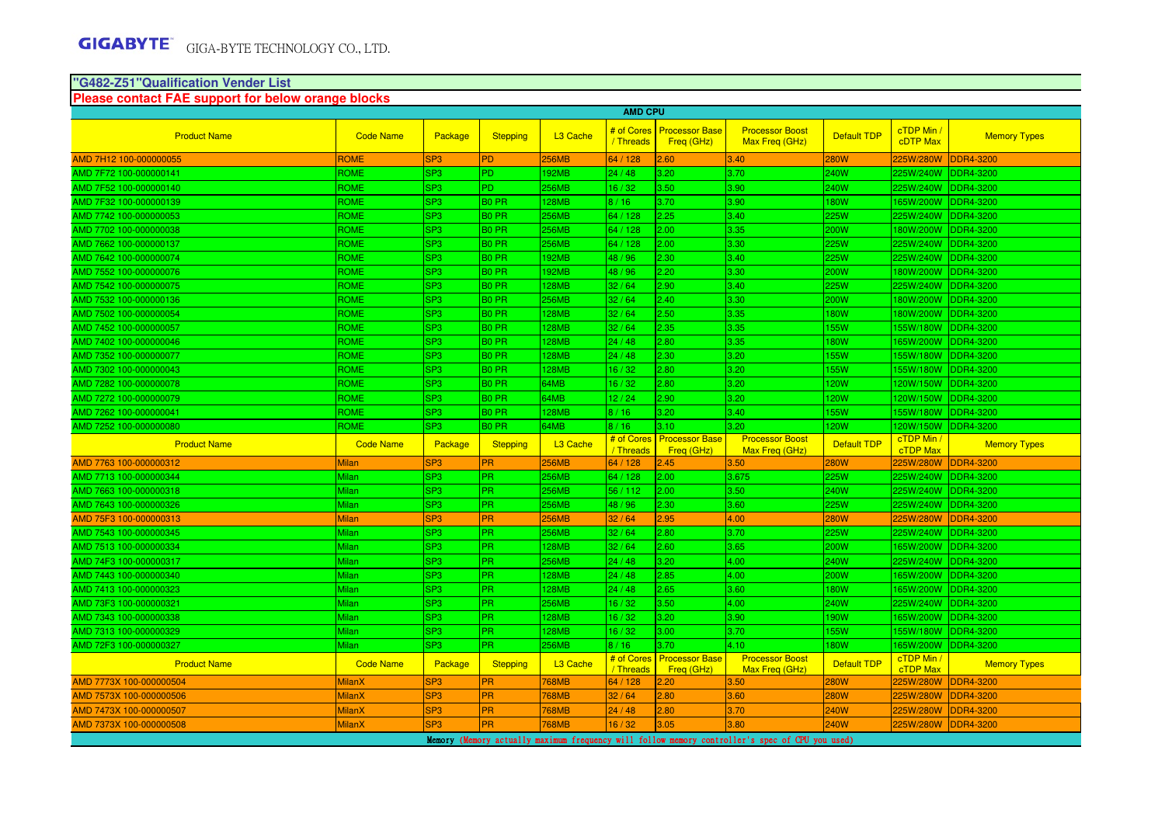# **"G482-Z51"Qualification Vender List**

| Please contact FAE support for below orange blocks                                                                                                                                                  |                  |                 |                   |                      |                         |                                     |                                          |                    |                               |                     |  |
|-----------------------------------------------------------------------------------------------------------------------------------------------------------------------------------------------------|------------------|-----------------|-------------------|----------------------|-------------------------|-------------------------------------|------------------------------------------|--------------------|-------------------------------|---------------------|--|
|                                                                                                                                                                                                     |                  |                 |                   |                      | <b>AMD CPU</b>          |                                     |                                          |                    |                               |                     |  |
| <b>Product Name</b>                                                                                                                                                                                 | <b>Code Name</b> | Package         | <b>Stepping</b>   | L <sub>3</sub> Cache | # of Cores<br>/ Threads | <b>Processor Base</b><br>Freq (GHz) | <b>Processor Boost</b><br>Max Freq (GHz) | <b>Default TDP</b> | cTDP Min /<br><b>cDTP Max</b> | <b>Memory Types</b> |  |
| AMD 7H12 100-000000055                                                                                                                                                                              | <b>ROME</b>      | SP <sub>3</sub> | <b>PD</b>         | <b>256MB</b>         | 64 / 128                | 2.60                                | 3.40                                     | <b>280W</b>        | 225W/280W                     | <b>DDR4-3200</b>    |  |
| AMD 7F72 100-000000141                                                                                                                                                                              | ROME             | SP <sub>3</sub> | PD.               | <b>192MB</b>         | 24/48                   | 3.20                                | 3.70                                     | 240W               | 225W/240W                     | <b>DDR4-3200</b>    |  |
| AMD 7F52 100-000000140                                                                                                                                                                              | ROME             | SP <sub>3</sub> | PD.               | <b>256MB</b>         | 16/32                   | 3.50                                | 3.90                                     | 240W               | 225W/240W                     | <b>DDR4-3200</b>    |  |
| AMD 7F32 100-000000139                                                                                                                                                                              | <b>ROME</b>      | SP <sub>3</sub> | <b>BO PR</b>      | <b>128MB</b>         | 8/16                    | 3.70                                | 3.90                                     | <b>180W</b>        | 165W/200W                     | <b>DDR4-3200</b>    |  |
| AMD 7742 100-000000053                                                                                                                                                                              | <b>ROME</b>      | SP <sub>3</sub> | B <sub>0</sub> PR | <b>256MB</b>         | 64 / 128                | 2.25                                | 3.40                                     | <b>225W</b>        | 225W/240W                     | <b>DDR4-3200</b>    |  |
| AMD 7702 100-000000038                                                                                                                                                                              | <b>ROME</b>      | SP <sub>3</sub> | <b>BO PR</b>      | <b>256MB</b>         | 64 / 128                | 2.00                                | 3.35                                     | <b>200W</b>        | 180W/200W                     | <b>DDR4-3200</b>    |  |
| AMD 7662 100-000000137                                                                                                                                                                              | <b>ROME</b>      | SP <sub>3</sub> | B <sub>0</sub> PR | <b>256MB</b>         | 64 / 128                | 2.00                                | 3.30                                     | <b>225W</b>        | 225W/240W                     | <b>DDR4-3200</b>    |  |
| AMD 7642 100-000000074                                                                                                                                                                              | ROME             | SP <sub>3</sub> | B <sub>0</sub> PR | <b>192MB</b>         | 48 / 96                 | 2.30                                | 3.40                                     | <b>225W</b>        | 225W/240W                     | <b>DDR4-3200</b>    |  |
| AMD 7552 100-000000076                                                                                                                                                                              | <b>ROME</b>      | SP <sub>3</sub> | <b>BO PR</b>      | <b>192MB</b>         | 48 / 96                 | 2.20                                | 3.30                                     | <b>200W</b>        | 180W/200W                     | <b>DDR4-3200</b>    |  |
| AMD 7542 100-000000075                                                                                                                                                                              | <b>ROME</b>      | SP <sub>3</sub> | B <sub>0</sub> PR | <b>128MB</b>         | 32/64                   | 2.90                                | 3.40                                     | 225W               | 225W/240W                     | <b>DDR4-3200</b>    |  |
| AMD 7532 100-000000136                                                                                                                                                                              | <b>ROME</b>      | SP <sub>3</sub> | <b>BO PR</b>      | <b>256MB</b>         | 32/64                   | 2.40                                | 3.30                                     | <b>200W</b>        |                               | 180W/200W DDR4-3200 |  |
| AMD 7502 100-000000054                                                                                                                                                                              | <b>ROME</b>      | SP <sub>3</sub> | B <sub>0</sub> PR | <b>128MB</b>         | 32/64                   | 2.50                                | 3.35                                     | <b>180W</b>        | 180W/200W                     | <b>DDR4-3200</b>    |  |
| AMD 7452 100-000000057                                                                                                                                                                              | ROME             | SP <sub>3</sub> | B <sub>0</sub> PR | <b>128MB</b>         | 32/64                   | 2.35                                | 3.35                                     | 155W               | 155W/180W                     | <b>DDR4-3200</b>    |  |
| AMD 7402 100-000000046                                                                                                                                                                              | <b>ROME</b>      | SP <sub>3</sub> | <b>BO PR</b>      | <b>128MB</b>         | 24/48                   | 2.80                                | 3.35                                     | <b>180W</b>        | 165W/200W                     | <b>DDR4-3200</b>    |  |
| AMD 7352 100-000000077                                                                                                                                                                              | <b>ROME</b>      | SP <sub>3</sub> | B <sub>0</sub> PR | <b>128MB</b>         | 24/48                   | 2.30                                | 3.20                                     | 155W               | 155W/180W                     | <b>DDR4-3200</b>    |  |
| AMD 7302 100-000000043                                                                                                                                                                              | <b>ROME</b>      | SP <sub>3</sub> | <b>BO PR</b>      | <b>128MB</b>         | 16/32                   | 2.80                                | 3.20                                     | <b>155W</b>        |                               | 155W/180W DDR4-3200 |  |
| AMD 7282 100-000000078                                                                                                                                                                              | <b>ROME</b>      | SP <sub>3</sub> | B <sub>0</sub> PR | 64MB                 | 16/32                   | 2.80                                | 3.20                                     | 120W               | 120W/150W                     | <b>DDR4-3200</b>    |  |
| AMD 7272 100-000000079                                                                                                                                                                              | ROME             | SP <sub>3</sub> | B <sub>0</sub> PR | 64MB                 | 12/24                   | 2.90                                | 3.20                                     | 120W               | 120W/150W                     | <b>DDR4-3200</b>    |  |
| AMD 7262 100-000000041                                                                                                                                                                              | <b>ROME</b>      | SP <sub>3</sub> | B <sub>0</sub> PR | <b>128MB</b>         | 8/16                    | 3.20                                | 3.40                                     | 155W               | 155W/180W                     | <b>DDR4-3200</b>    |  |
| AMD 7252 100-000000080                                                                                                                                                                              | <b>ROME</b>      | SP <sub>3</sub> | B <sub>0</sub> PR | 64MB                 | 8/16                    | 3.10                                | 3.20                                     | 120W               | 120W/150W                     | <b>DDR4-3200</b>    |  |
| <b>Product Name</b>                                                                                                                                                                                 | <b>Code Name</b> | Package         | Stepping          | L <sub>3</sub> Cache | # of Cores<br>/ Threads | <b>Processor Base</b><br>Freq (GHz) | <b>Processor Boost</b><br>Max Freq (GHz) | <b>Default TDP</b> | cTDP Min /<br><b>cTDP Max</b> | <b>Memory Types</b> |  |
| AMD 7763 100-000000312                                                                                                                                                                              | <b>Milan</b>     | SP <sub>3</sub> | <b>PR</b>         | <b>256MB</b>         | 64 / 128                | 2.45                                | 3.50                                     | <b>280W</b>        | 225W/280W                     | <b>DDR4-3200</b>    |  |
| AMD 7713 100-000000344                                                                                                                                                                              | Milan            | SP <sub>3</sub> | PR.               | <b>256MB</b>         | 64 / 128                | 2.00                                | 3.675                                    | 225W               | 225W/240W                     | DDR4-3200           |  |
| AMD 7663 100-000000318                                                                                                                                                                              | <b>Milan</b>     | SP <sub>3</sub> | PR.               | <b>256MB</b>         | 56 / 112                | 2.00                                | 3.50                                     | <b>240W</b>        | 225W/240W                     | <b>DDR4-3200</b>    |  |
| AMD 7643 100-000000326                                                                                                                                                                              | <b>Milan</b>     | SP <sub>3</sub> | PR.               | <b>256MB</b>         | 48 / 96                 | 2.30                                | 3.60                                     | <b>225W</b>        | 225W/240W                     | <b>DDR4-3200</b>    |  |
| AMD 75F3 100-000000313                                                                                                                                                                              | <b>Milan</b>     | SP <sub>3</sub> | PR.               | <b>256MB</b>         | 32/64                   | 2.95                                | 4.00                                     | <b>280W</b>        | 225W/280W                     | <b>DDR4-3200</b>    |  |
| AMD 7543 100-000000345                                                                                                                                                                              | Milan            | SP <sub>3</sub> | PR.               | <b>256MB</b>         | 32/64                   | 2.80                                | 3.70                                     | <b>225W</b>        | 225W/240W                     | <b>DDR4-3200</b>    |  |
| AMD 7513 100-000000334                                                                                                                                                                              | Milan            | SP <sub>3</sub> | <b>PR</b>         | <b>128MB</b>         | 32/64                   | 2.60                                | 3.65                                     | 200W               | 165W/200W                     | <b>DDR4-3200</b>    |  |
| AMD 74F3 100-000000317                                                                                                                                                                              | <b>Milan</b>     | SP <sub>3</sub> | PR.               | <b>256MB</b>         | 24/48                   | 3.20                                | 4.00                                     | <b>240W</b>        | 225W/240W                     | <b>DDR4-3200</b>    |  |
| AMD 7443 100-000000340                                                                                                                                                                              | Milan            | SP <sub>3</sub> | PR.               | <b>128MB</b>         | 24/48                   | 2.85                                | 4.00                                     | 200W               | 165W/200W                     | <b>DDR4-3200</b>    |  |
| AMD 7413 100-000000323                                                                                                                                                                              | <b>Milan</b>     | SP <sub>3</sub> | PR.               | <b>128MB</b>         | 24/48                   | 2.65                                | 3.60                                     | 180W               | 165W/200W                     | <b>DDR4-3200</b>    |  |
| AMD 73F3 100-000000321                                                                                                                                                                              | Milan            | SP <sub>3</sub> | PR.               | <b>256MB</b>         | 16/32                   | 3.50                                | 4.00                                     | <b>240W</b>        | 225W/240W                     | DDR4-3200           |  |
| AMD 7343 100-000000338                                                                                                                                                                              | Milan            | SP <sub>3</sub> | <b>PR</b>         | <b>128MB</b>         | 16/32                   | 3.20                                | 3.90                                     | 190W               | 165W/200W                     | <b>DDR4-3200</b>    |  |
| AMD 7313 100-000000329                                                                                                                                                                              | <b>Milan</b>     | SP <sub>3</sub> | PR.               | <b>128MB</b>         | 16/32                   | 3.00                                | 3.70                                     | <b>155W</b>        | 155W/180W                     | <b>DDR4-3200</b>    |  |
| AMD 72F3 100-000000327                                                                                                                                                                              | Milan            | SP <sub>3</sub> | PR.               | <b>256MB</b>         | 8/16                    | 3.70                                | 4.10                                     | <b>180W</b>        | 165W/200W                     | <b>DDR4-3200</b>    |  |
| <b>Product Name</b>                                                                                                                                                                                 | <b>Code Name</b> | Package         | Stepping          | L <sub>3</sub> Cache | # of Cores<br>/ Threads | <b>Processor Base</b><br>Freq (GHz) | <b>Processor Boost</b><br>Max Freq (GHz) | <b>Default TDP</b> | cTDP Min /<br>cTDP Max        | <b>Memory Types</b> |  |
| AMD 7773X 100-000000504                                                                                                                                                                             | <b>MilanX</b>    | SP <sub>3</sub> | PR                | <b>768MB</b>         | 64 / 128                | 2.20                                | 3.50                                     | <b>280W</b>        | 225W/280W                     | <b>DDR4-3200</b>    |  |
| AMD 7573X 100-000000506                                                                                                                                                                             | <b>MilanX</b>    | SP <sub>3</sub> | <b>PR</b>         | <b>768MB</b>         | 32/64                   | 2.80                                | 3.60                                     | <b>280W</b>        | 225W/280W                     | <b>DDR4-3200</b>    |  |
| AMD 7473X 100-000000507                                                                                                                                                                             | <b>MilanX</b>    | SP <sub>3</sub> | <b>PR</b>         | <b>768MB</b>         | 24/48                   | 2.80                                | 3.70                                     | <b>240W</b>        | 225W/280W                     | DDR4-3200           |  |
| AMD 7373X 100-000000508                                                                                                                                                                             | <b>MilanX</b>    |                 |                   |                      |                         |                                     |                                          |                    |                               |                     |  |
| <b>PR</b><br>SP <sub>3</sub><br>768MB<br>3.05<br>3.80<br>16/32<br>240W<br>225W/280W<br>DDR4-3200<br>Memory (Memory actually maximum frequency will follow memory controller's spec of CPU you used) |                  |                 |                   |                      |                         |                                     |                                          |                    |                               |                     |  |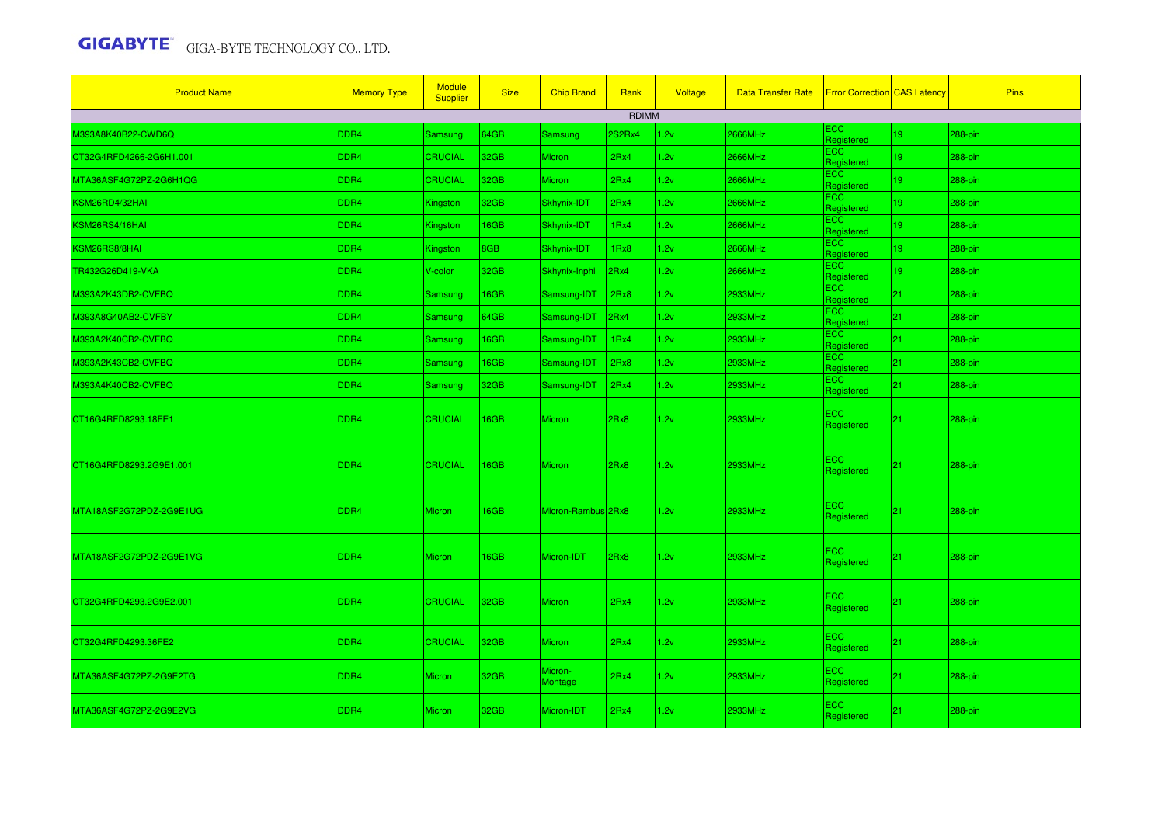| <b>Product Name</b>     | <b>Memory Type</b> | <b>Module</b><br><b>Supplier</b> | <b>Size</b> | <b>Chip Brand</b>  | Rank          | Voltage | <b>Data Transfer Rate</b> | <b>Error Correction CAS Latency</b> |    | <b>Pins</b> |
|-------------------------|--------------------|----------------------------------|-------------|--------------------|---------------|---------|---------------------------|-------------------------------------|----|-------------|
|                         |                    |                                  |             |                    | <b>RDIMM</b>  |         |                           |                                     |    |             |
| M393A8K40B22-CWD6Q      | DDR <sub>4</sub>   | Samsung                          | 64GB        | Samsung            | <b>2S2Rx4</b> | 2v      | <b>2666MHz</b>            | ECC.<br>Registered                  | 19 | 288-pin     |
| CT32G4RFD4266-2G6H1.001 | DDR4               | <b>CRUCIAL</b>                   | 32GB        | <b>Micron</b>      | 2Rx4          | .2v     | 2666MHz                   | <b>ECC</b><br>Registered            | 19 | $288$ -pin  |
| MTA36ASF4G72PZ-2G6H1QG  | DDR4               | <b>CRUCIAL</b>                   | 32GB        | <b>Micron</b>      | 2Rx4          | 1.2v    | 2666MHz                   | ECC<br>Registered                   | 19 | 288-pin     |
| KSM26RD4/32HAI          | DDR <sub>4</sub>   | Kingston                         | 32GB        | Skhynix-IDT        | 2Rx4          | 1.2v    | 2666MHz                   | <b>ECC</b><br>Registered            | 19 | 288-pin     |
| KSM26RS4/16HAI          | DDR4               | Kingston                         | 16GB        | Skhynix-IDT        | 1Rx4          | 1.2v    | 2666MHz                   | <b>ECC</b><br>Registered            | 19 | 288-pin     |
| KSM26RS8/8HAI           | DDR4               | Kingston                         | 8GB         | Skhynix-IDT        | 1Rx8          | 1.2v    | 2666MHz                   | <b>ECC</b><br>Registered            | 19 | 288-pin     |
| TR432G26D419-VKA        | DDR4               | V-color                          | 32GB        | Skhynix-Inphi      | 2Rx4          | 1.2v    | 2666MHz                   | <b>ECC</b><br>Registered            | 19 | 288-pin     |
| M393A2K43DB2-CVFBQ      | DDR4               | Samsung                          | 16GB        | Samsung-IDT        | 2Rx8          | 1.2v    | 2933MHz                   | <b>ECC</b><br>Registered            | 21 | 288-pin     |
| M393A8G40AB2-CVFBY      | DDR <sub>4</sub>   | Samsung                          | 64GB        | Samsung-IDT        | 2Rx4          | 1.2v    | 2933MHz                   | <b>ECC</b><br>Registered            | 21 | 288-pin     |
| M393A2K40CB2-CVFBQ      | DDR4               | Samsung                          | 16GB        | Samsung-IDT        | 1Rx4          | 1.2v    | 2933MHz                   | <b>ECC</b><br>Registered            | 21 | 288-pin     |
| M393A2K43CB2-CVFBQ      | DDR4               | Samsung                          | 16GB        | Samsung-IDT        | 2Rx8          | 1.2v    | 2933MHz                   | <b>ECC</b><br>Reaistered            | 21 | 288-pin     |
| M393A4K40CB2-CVFBQ      | DDR4               | Samsung                          | 32GB        | Samsung-IDT        | 2Rx4          | 1.2v    | 2933MHz                   | <b>ECC</b><br>Registered            | 21 | 288-pin     |
| CT16G4RFD8293.18FE1     | DDR4               | <b>CRUCIAL</b>                   | 16GB        | Micron             | 2Rx8          | 1.2v    | 2933MHz                   | <b>ECC</b><br>Registered            | 21 | 288-pin     |
| CT16G4RFD8293.2G9E1.001 | DDR <sub>4</sub>   | <b>CRUCIAL</b>                   | 16GB        | Micron             | 2Rx8          | 1.2v    | 2933MHz                   | ECC<br>Registered                   | 21 | $ 288-pin $ |
| MTA18ASF2G72PDZ-2G9E1UG | DDR4               | Micron                           | 16GB        | Micron-Rambus 2Rx8 |               | 1.2v    | 2933MHz                   | ECC<br>Registered                   | 21 | 288-pin     |
| MTA18ASF2G72PDZ-2G9E1VG | DDR <sub>4</sub>   | <b>Micron</b>                    | 16GB        | Micron-IDT         | 2Rx8          | 1.2v    | 2933MHz                   | ECC<br>Registered                   | 21 | $ 288-pin $ |
| CT32G4RFD4293.2G9E2.001 | DDR <sub>4</sub>   | <b>CRUCIAL</b>                   | 32GB        | Micron             | 2Rx4          | 1.2v    | 2933MHz                   | ECC.<br>Registered                  | 21 | 288-pin     |
| CT32G4RFD4293.36FE2     | DDR4               | <b>CRUCIAL</b>                   | 32GB        | Micron             | 2Rx4          | 1.2v    | 2933MHz                   | <b>ECC</b><br>Registered            | 21 | 288-pin     |
| MTA36ASF4G72PZ-2G9E2TG  | DDR <sub>4</sub>   | <b>Micron</b>                    | 32GB        | Micron-<br>Montage | 2Rx4          | 1.2v    | 2933MHz                   | <b>ECC</b><br>Registered            | 21 | 288-pin     |
| MTA36ASF4G72PZ-2G9E2VG  | DDR <sub>4</sub>   | <b>Micron</b>                    | 32GB        | Micron-IDT         | 2Rx4          | 1.2v    | 2933MHz                   | <b>ECC</b><br>Registered            | 21 | $ 288-pin $ |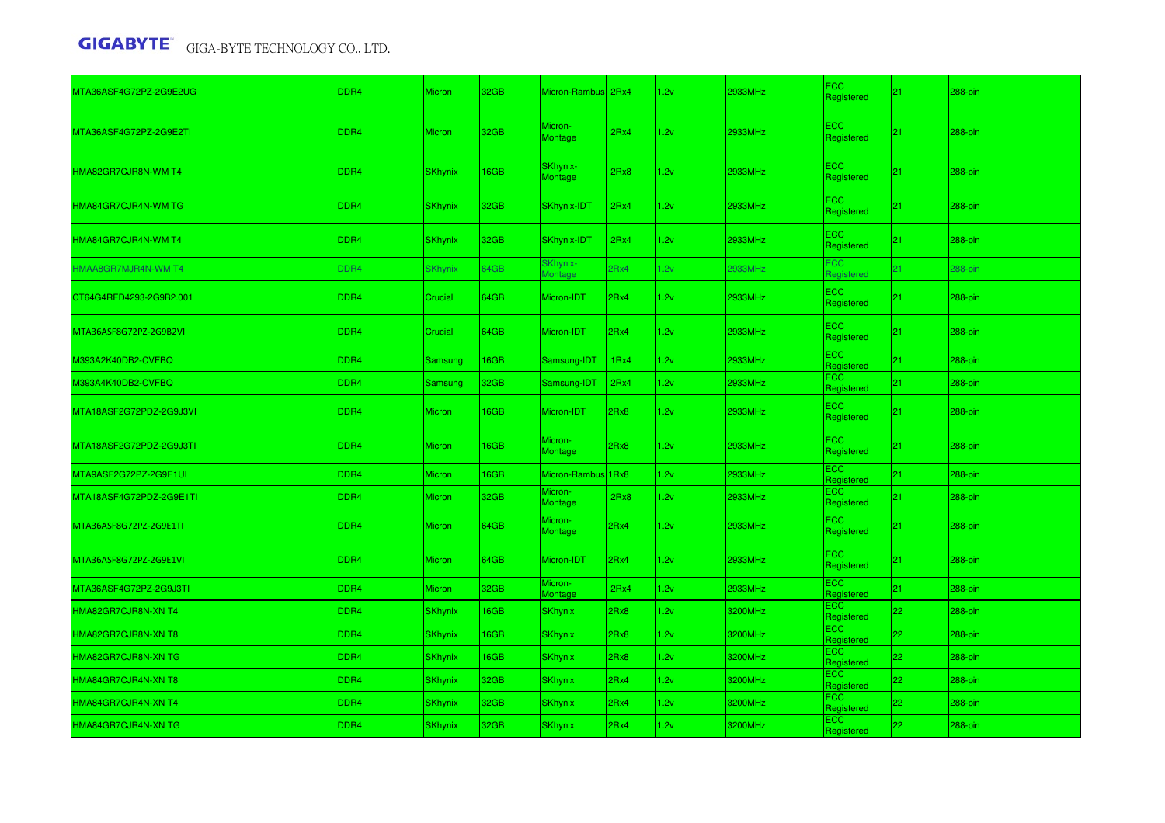| MTA36ASF4G72PZ-2G9E2UG  | DDR4             | <b>Micron</b>  | 32GB | Micron-Rambus 2Rx4         |      | 1.2v | 2933MHz | <b>ECC</b><br>Registered | 21 | 288-pin    |
|-------------------------|------------------|----------------|------|----------------------------|------|------|---------|--------------------------|----|------------|
| MTA36ASF4G72PZ-2G9E2TI  | DDR4             | Micron         | 32GB | Micron-<br>Montage         | 2Rx4 | 1.2v | 2933MHz | <b>ECC</b><br>Registered | 21 | 288-pin    |
| HMA82GR7CJR8N-WM T4     | DDR4             | <b>SKhynix</b> | 16GB | SKhynix-<br>Montage        | 2Rx8 | 1.2v | 2933MHz | ECC.<br>Registered       | 21 | 288-pin    |
| HMA84GR7CJR4N-WM TG     | DDR4             | <b>SKhynix</b> | 32GB | <b>SKhynix-IDT</b>         | 2Rx4 | 1.2v | 2933MHz | ECC.<br>Registered       | 21 | $288$ -pin |
| HMA84GR7CJR4N-WM T4     | DDR <sub>4</sub> | <b>SKhynix</b> | 32GB | SKhynix-IDT                | 2Rx4 | 1.2v | 2933MHz | ECC.<br>Registered       | 21 | $288$ -pin |
| HMAA8GR7MJR4N-WM T4     | DDR4             | <b>SKhynix</b> | 64GB | SKhynix-<br><b>Iontage</b> | 2Rx4 | 1.2v | 2933MHz | <b>ECC</b><br>Reaistered | 21 | 288-pin    |
| CT64G4RFD4293-2G9B2.001 | DDR4             | Crucial        | 64GB | Micron-IDT                 | 2Rx4 | 1.2v | 2933MHz | ECC.<br>Registered       | 21 | $288$ -pin |
| MTA36ASF8G72PZ-2G9B2VI  | DDR4             | Crucial        | 64GB | Micron-IDT                 | 2Rx4 | 1.2v | 2933MHz | ECC.<br>Registered       | 21 | $288$ -pin |
| M393A2K40DB2-CVFBQ      | DDR4             | Samsung        | 16GB | Samsung-IDT                | 1Rx4 | 1.2v | 2933MHz | ECC.<br>Registered       | 21 | 288-pin    |
| M393A4K40DB2-CVFBQ      | DDR4             | Samsung        | 32GB | Samsung-IDT                | 2Rx4 | 1.2v | 2933MHz | ECC.<br>Registered       | 21 | 288-pin    |
| MTA18ASF2G72PDZ-2G9J3VI | DDR4             | <b>Micron</b>  | 16GB | Micron-IDT                 | 2Rx8 | 1.2v | 2933MHz | ECC.<br>Registered       | 21 | $288$ -pin |
| MTA18ASF2G72PDZ-2G9J3TI | DDR4             | Micron         | 16GB | Micron-<br><b>Montage</b>  | 2Rx8 | 1.2v | 2933MHz | ECC.<br>Registered       | 21 | $288$ -pin |
| MTA9ASF2G72PZ-2G9E1UI   | DDR4             | Micron         | 16GB | Micron-Rambus 1Rx8         |      | 1.2v | 2933MHz | <b>ECC</b><br>Registered | 21 | 288-pin    |
| MTA18ASF4G72PDZ-2G9E1TI | DDR4             | Micron         | 32GB | Micron-<br>Montage         | 2Rx8 | 1.2v | 2933MHz | <b>ECC</b><br>Registered | 21 | 288-pin    |
| MTA36ASF8G72PZ-2G9E1TI  | DDR4             | <b>Micron</b>  | 64GB | Micron-<br>Montage         | 2Rx4 | 1.2v | 2933MHz | ECC.<br>Registered       | 21 | $288$ -pin |
| MTA36ASF8G72PZ-2G9E1VI  | DDR <sub>4</sub> | <b>Micron</b>  | 64GB | Micron-IDT                 | 2Rx4 | 1.2v | 2933MHz | ECC.<br>Registered       | 21 | $288$ -pin |
| MTA36ASF4G72PZ-2G9J3TI  | DDR4             | <b>Micron</b>  | 32GB | Micron-<br>Montage         | 2Rx4 | 1.2v | 2933MHz | ECC.<br>Registered       | 21 | 288-pin    |
| HMA82GR7CJR8N-XN T4     | DDR4             | <b>SKhynix</b> | 16GB | <b>SKhynix</b>             | 2Rx8 | .2v  | 3200MHz | ECC.<br>Registered       | 22 | 288-pin    |
| HMA82GR7CJR8N-XN T8     | DDR4             | <b>SKhynix</b> | 16GB | <b>SKhynix</b>             | 2Rx8 | 1.2v | 3200MHz | <b>ECC</b><br>Registered | 22 | $288$ -pin |
| HMA82GR7CJR8N-XN TG     | DDR4             | <b>SKhynix</b> | 16GB | <b>SKhynix</b>             | 2Rx8 | 1.2v | 3200MHz | <b>ECC</b><br>Registered | 22 | 288-pin    |
| HMA84GR7CJR4N-XN T8     | DDR4             | SKhynix        | 32GB | <b>SKhynix</b>             | 2Rx4 | .2v  | 3200MHz | ECC.<br>Registered       | 22 | 288-pin    |
| HMA84GR7CJR4N-XN T4     | DDR <sub>4</sub> | <b>SKhynix</b> | 32GB | <b>SKhynix</b>             | 2Rx4 | 1.2v | 3200MHz | ECC.<br>Registered       | 22 | 288-pin    |
| HMA84GR7CJR4N-XN TG     | DDR4             | <b>SKhynix</b> | 32GB | <b>SKhynix</b>             | 2Rx4 | 1.2v | 3200MHz | ECC.<br>Registered       | 22 | 288-pin    |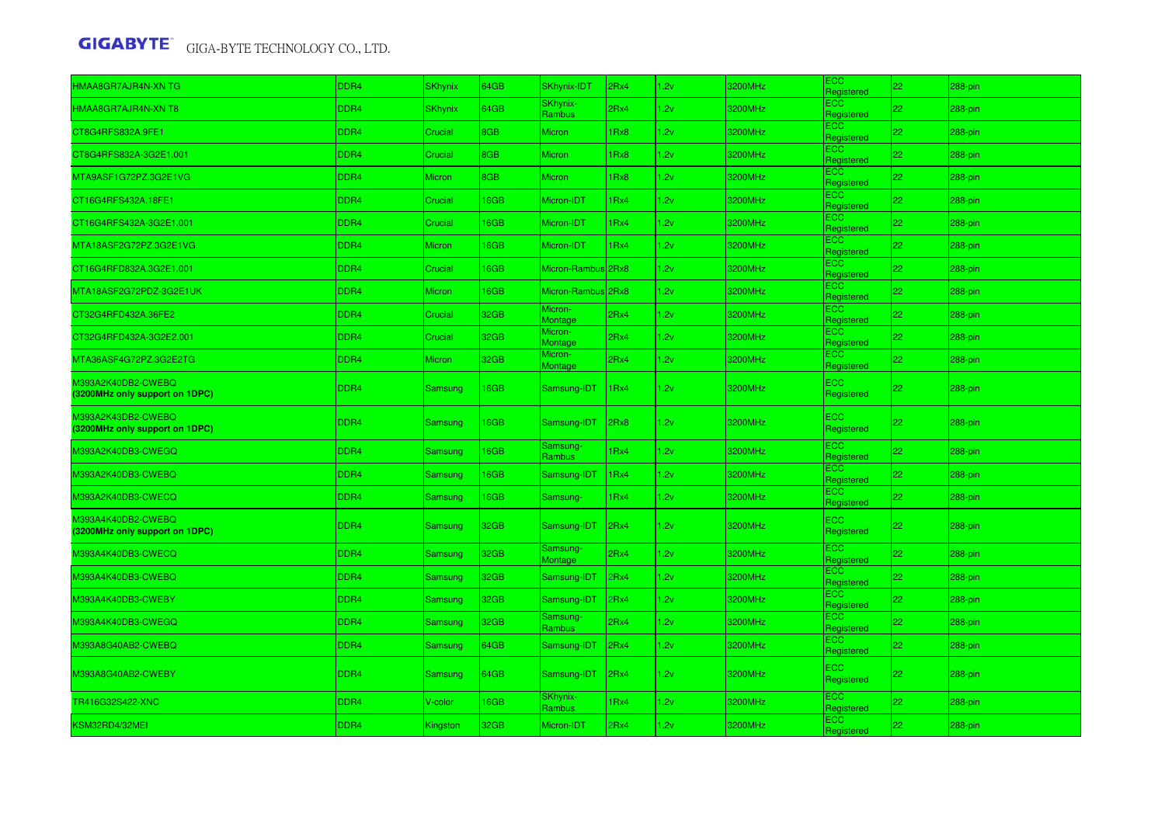| HMAA8GR7AJR4N-XN TG                                  | DDR <sub>4</sub> | <b>SKhynix</b> | 64GB | <b>SKhynix-IDT</b>         | 2Rx4 | 1.2v | 3200MHz | <b>ECC</b><br>Registered | 22              | 288-pin   |
|------------------------------------------------------|------------------|----------------|------|----------------------------|------|------|---------|--------------------------|-----------------|-----------|
| HMAA8GR7AJR4N-XN T8                                  | DDR <sub>4</sub> | <b>SKhynix</b> | 64GB | SKhynix-<br>Rambus         | 2Rx4 | 1.2v | 3200MHz | <b>ECC</b><br>Registered | 22              | 288-pin   |
| CT8G4RFS832A.9FE1                                    | DDR4             | Crucial        | 8GB  | Micron                     | 1Rx8 | 1.2v | 3200MHz | <b>ECC</b><br>Registered | 22.             | 288-pin   |
| CT8G4RFS832A-3G2E1.001                               | DDR4             | Crucial        | 8GB  | Micron                     | 1Rx8 | 1.2v | 3200MHz | <b>ECC</b><br>Registered | 22              | 288-pin   |
| MTA9ASF1G72PZ.3G2E1VG                                | DDR <sub>4</sub> | Micron         | 8GB  | Micron                     | 1Rx8 | 1.2v | 3200MHz | <b>ECC</b><br>Registered | 22              | 288-pin   |
| CT16G4RFS432A.18FE1                                  | DDR4             | Crucial        | 6GB  | Micron-IDT                 | 1Rx4 | 1.2v | 3200MHz | <b>ECC</b><br>Registered | 22 <sub>1</sub> | 288-pin   |
| CT16G4RFS432A-3G2E1.001                              | DDR4             | Crucial        | 16GB | Micron-IDT                 | 1Rx4 | 1.2v | 3200MHz | <b>ECC</b><br>Registered | 22              | 288-pin   |
| MTA18ASF2G72PZ.3G2E1VG                               | DDR4             | <b>Micron</b>  | 16GB | Micron-IDT                 | 1Rx4 | 1.2v | 3200MHz | ECC.<br>Registered       | 22              | 288-pin   |
| CT16G4RFD832A.3G2E1.001                              | DDR4             | Crucial        | 16GB | Micron-Rambus 2Rx8         |      | 1.2v | 3200MHz | <b>ECC</b><br>Registered | 22              | 288-pin   |
| MTA18ASF2G72PDZ-3G2E1UK                              | DDR4             | Micron         | 16GB | Micron-Rambus 2Rx8         |      | 1.2v | 3200MHz | <b>ECC</b><br>Registered | 22              | 288-pin   |
| CT32G4RFD432A.36FE2                                  | DDR4             | Crucial        | 32GB | Micron-<br>Montage         | 2Rx4 | 1.2v | 3200MHz | <b>ECC</b><br>Registered | 22              | 288-pin   |
| CT32G4RFD432A-3G2E2.001                              | DDR <sub>4</sub> | Crucial        | 32GB | Micron-<br>Montage         | 2Rx4 | 1.2v | 3200MHz | <b>ECC</b><br>Registered | 22              | 288-pin   |
| MTA36ASF4G72PZ.3G2E2TG                               | DDR4             | <b>Micron</b>  | 32GB | Micron-<br>Montage         | 2Rx4 | 1.2v | 3200MHz | <b>ECC</b><br>Registered | 22              | 288-pin   |
| M393A2K40DB2-CWEBQ<br>(3200MHz only support on 1DPC) | DDR4             | Samsung        | 16GB | Samsung-IDT                | 1Rx4 | 1.2v | 3200MHz | ECC<br>Registered        | 22              | $288-pin$ |
| M393A2K43DB2-CWEBQ<br>(3200MHz only support on 1DPC) | DDR <sub>4</sub> | Samsung        | 16GB | Samsung-IDT                | 2Rx8 | 1.2v | 3200MHz | <b>ECC</b><br>Registered | 22              | 288-pin   |
| M393A2K40DB3-CWEGQ                                   | DDR4             | Samsung        | 16GB | Samsung-<br>Rambus         | 1Rx4 | 1.2v | 3200MHz | ECC<br>Registered        | 22              | 288-pin   |
| M393A2K40DB3-CWEBQ                                   | DDR4             | Samsung        | 16GB | Samsung-IDT                | 1Rx4 | 1.2v | 3200MHz | ECC<br>Registered        | 22              | 288-pin   |
| M393A2K40DB3-CWECQ                                   | DDR <sub>4</sub> | Samsung        | 16GB | Samsung-                   | 1Rx4 | 1.2v | 3200MHz | <b>ECC</b><br>Registered | 22              | 288-pin   |
| M393A4K40DB2-CWEBQ<br>(3200MHz only support on 1DPC) | DDR <sub>4</sub> | Samsung        | 32GB | Samsung-IDT                | 2Rx4 | 1.2v | 3200MHz | ECC.<br>Registered       | 22              | 288-pin   |
| M393A4K40DB3-CWECQ                                   | DDR <sub>4</sub> | Samsung        | 32GB | Samsung-<br><b>Montage</b> | 2Rx4 | 1.2v | 3200MHz | ECC<br>Registered        | 22              | 288-pin   |
| M393A4K40DB3-CWEBQ                                   | DDR4             | Samsung        | 32GB | Samsung-IDT                | 2Rx4 | 1.2v | 3200MHz | <b>ECC</b><br>Registered | 22.             | 288-pin   |
| M393A4K40DB3-CWEBY                                   | DDR4             | Samsung        | 32GB | Samsung-IDT                | 2Rx4 | 1.2v | 3200MHz | <b>ECC</b><br>Registered | 22              | 288-pin   |
| M393A4K40DB3-CWEGQ                                   | DDR <sub>4</sub> | Samsung        | 32GB | Samsung-<br>Rambus         | 2Rx4 | 1.2v | 3200MHz | <b>ECC</b><br>Registered | 22              | 288-pin   |
| M393A8G40AB2-CWEBQ                                   | DDR4             | Samsung        | 64GB | Samsung-IDT                | 2Rx4 | 1.2v | 3200MHz | ECC.<br>Registered       | 22 <sub>2</sub> | 288-pin   |
| M393A8G40AB2-CWEBY                                   | DDR4             | Samsung        | 64GB | Samsung-IDT                | 2Rx4 | 1.2v | 3200MHz | <b>ECC</b><br>Registered | 22              | 288-pin   |
| TR416G32S422-XNC                                     | DDR <sub>4</sub> | V-color        | 16GB | <b>SKhynix-</b><br>Rambus  | 1Rx4 | 1.2v | 3200MHz | <b>ECC</b><br>Registered | 22              | 288-pin   |
| KSM32RD4/32MEI                                       | DDR4             | Kingston       | 32GB | Micron-IDT                 | 2Rx4 | 1.2v | 3200MHz | <b>ECC</b><br>Registered | 22 <sub>1</sub> | 288-pin   |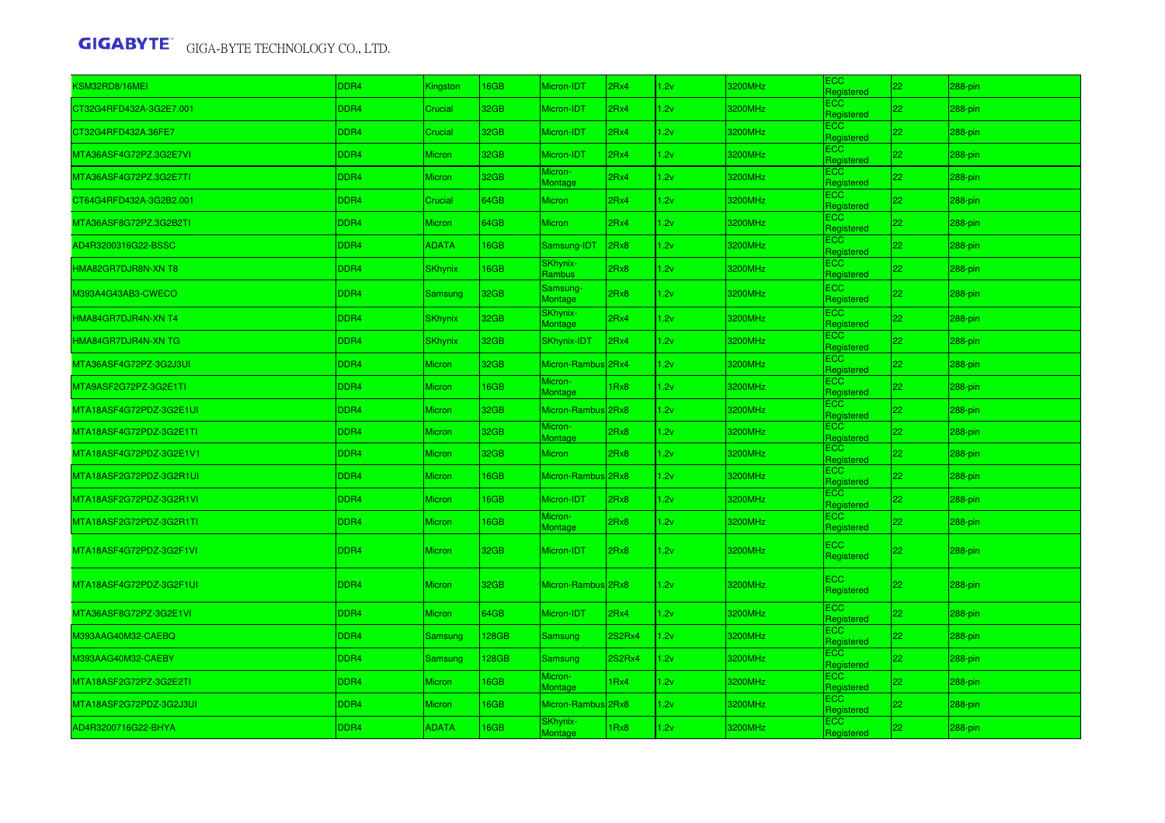| KSM32RD8/16MEI          | DDR4             | Kingston       | 16GB  | Micron-IDT          | 2Rx4          | 1.2v | 3200MHz | ECC.<br>Registered       | 22              | 288-pin    |
|-------------------------|------------------|----------------|-------|---------------------|---------------|------|---------|--------------------------|-----------------|------------|
| CT32G4RFD432A-3G2E7.001 | DDR4             | Crucial        | 32GB  | Micron-IDT          | 2Rx4          | 1.2v | 3200MHz | <b>ECC</b><br>Registered | 22              | 288-pin    |
| CT32G4RFD432A.36FE7     | DDR4             | Crucial        | 32GB  | Micron-IDT          | 2Rx4          | 2v   | 3200MHz | ECC.<br>Registered       | 22              | 288-pin    |
| MTA36ASF4G72PZ.3G2E7VI  | DDR4             | <b>Micron</b>  | 32GB  | Micron-IDT          | 2Rx4          | 1.2v | 3200MHz | ECC.<br>Registered       | 22              | 288-pin    |
| MTA36ASF4G72PZ.3G2E7TI  | DDR4             | Micron         | 32GB  | Micron-<br>Montage  | 2Rx4          | 1.2v | 3200MHz | ECC.<br>Registered       | 22              | 288-pin    |
| CT64G4RFD432A-3G2B2.001 | DDR4             | Crucial        | 64GB  | Micron              | 2Rx4          | .2v  | 3200MHz | ECC.<br>Registered       | 22 <sub>2</sub> | 288-pin    |
| MTA36ASF8G72PZ.3G2B2TI  | DDR4             | Micron         | 64GB  | <b>Micron</b>       | 2Rx4          | .2v  | 3200MHz | ECC<br>Registered        | 22              | 288-pin    |
| AD4R3200316G22-BSSC     | DDR4             | <b>ADATA</b>   | 16GB  | Samsung-IDT         | 2Rx8          | .2v  | 3200MHz | <b>ECC</b><br>Registered | 22              | 288-pin    |
| HMA82GR7DJR8N-XN T8     | DDR4             | <b>SKhynix</b> | 16GB  | SKhynix-<br>Rambus  | 2Rx8          | 1.2v | 3200MHz | <b>ECC</b><br>Registered | 22              | 288-pin    |
| M393A4G43AB3-CWECO      | DDR4             | Samsung        | 32GB  | Samsung-<br>Montage | 2Rx8          | 1.2v | 3200MHz | ECC.<br>Registered       | 22              | 288-pin    |
| HMA84GR7DJR4N-XN T4     | DDR4             | <b>SKhynix</b> | 32GB  | SKhynix-<br>Montage | 2Rx4          | .2v  | 3200MHz | <b>ECC</b><br>Registered | 22              | 288-pin    |
| HMA84GR7DJR4N-XN TG     | DDR4             | <b>SKhynix</b> | 32GB  | <b>SKhynix-IDT</b>  | 2Rx4          | 1.2v | 3200MHz | <b>ECC</b><br>Registered | 22              | 288-pin    |
| MTA36ASF4G72PZ-3G2J3UI  | DDR4             | Micron         | 32GB  | Micron-Rambus 2Rx4  |               | 1.2v | 3200MHz | ECC.<br>Registered       | 22              | 288-pin    |
| MTA9ASF2G72PZ-3G2E1TI   | DDR4             | Micron         | 16GB  | Micron-<br>Montage  | 1Rx8          | 1.2v | 3200MHz | ECC.<br>Registered       | 22              | 288-pin    |
| MTA18ASF4G72PDZ-3G2E1UI | DDR4             | <b>Micron</b>  | 32GB  | Micron-Rambus 2Rx8  |               | 1.2v | 3200MHz | ECC<br>Registered        | 22              | 288-pin    |
| MTA18ASF4G72PDZ-3G2E1TI | DDR4             | <b>Micron</b>  | 32GB  | Micron-<br>Montage  | 2Rx8          | 2v   | 3200MHz | ECC.<br>Registered       | 22              | 288-pin    |
| MTA18ASF4G72PDZ-3G2E1V1 | DDR4             | <b>Micron</b>  | 32GB  | <b>Micron</b>       | 2Rx8          | 1.2v | 3200MHz | ECC.<br>Registered       | 22              | 288-pin    |
| MTA18ASF2G72PDZ-3G2R1UI | DDR4             | <b>Micron</b>  | 16GB  | Micron-Rambus 2Rx8  |               | 1.2v | 3200MHz | ECC.<br>Registered       | 22              | 288-pin    |
| MTA18ASF2G72PDZ-3G2R1VI | DDR4             | <b>Micron</b>  | 16GB  | Micron-IDT          | 2Rx8          | 1.2v | 3200MHz | ECC.<br>Registered       | 22              | 288-pin    |
| MTA18ASF2G72PDZ-3G2R1TI | DDR4             | <b>Micron</b>  | 16GB  | Micron-<br>Montage  | 2Rx8          | 2v   | 3200MHz | ECC.<br>Registered       | 22              | 288-pin    |
| MTA18ASF4G72PDZ-3G2F1VI | DDR <sub>4</sub> | <b>Micron</b>  | 32GB  | Micron-IDT          | 2Rx8          | 1.2v | 3200MHz | <b>ECC</b><br>Registered | 22              | $288$ -pin |
| MTA18ASF4G72PDZ-3G2F1UI | DDR4             | <b>Micron</b>  | 32GB  | Micron-Rambus 2Rx8  |               | 1.2v | 3200MHz | ECC<br>Registered        | 22              | 288-pin    |
| MTA36ASF8G72PZ-3G2E1VI  | DDR4             | <b>Micron</b>  | 64GB  | Micron-IDT          | 2Rx4          | .2v  | 3200MHz | ECC.<br>Registered       | 22              | 288-pin    |
| M393AAG40M32-CAEBQ      | DDR4             | Samsung        | 128GB | Samsung             | <b>2S2Rx4</b> | 1.2v | 3200MHz | <b>ECC</b><br>Registered | 22              | 288-pin    |
| M393AAG40M32-CAEBY      | DDR4             | Samsung        | 128GB | Samsung             | <b>2S2Rx4</b> | 1.2v | 3200MHz | <b>ECC</b><br>Registered | 22              | 288-pin    |
| MTA18ASF2G72PZ-3G2E2TI  | DDR4             | Micron         | 16GB  | Micron-<br>Montage  | 1Rx4          | 1.2v | 3200MHz | ECC.<br>Registered       | 22              | 288-pin    |
| MTA18ASF2G72PDZ-3G2J3UI | DDR4             | <b>Micron</b>  | 16GB  | Micron-Rambus 2Rx8  |               | 1.2v | 3200MHz | ECC<br>Registered        | 22              | 288-pin    |
| AD4R3200716G22-BHYA     | DDR4             | <b>ADATA</b>   | 16GB  | SKhynix-<br>Montage | 1Rx8          | 2v   | 3200MHz | ECC.<br>Registered       | 22              | 288-pin    |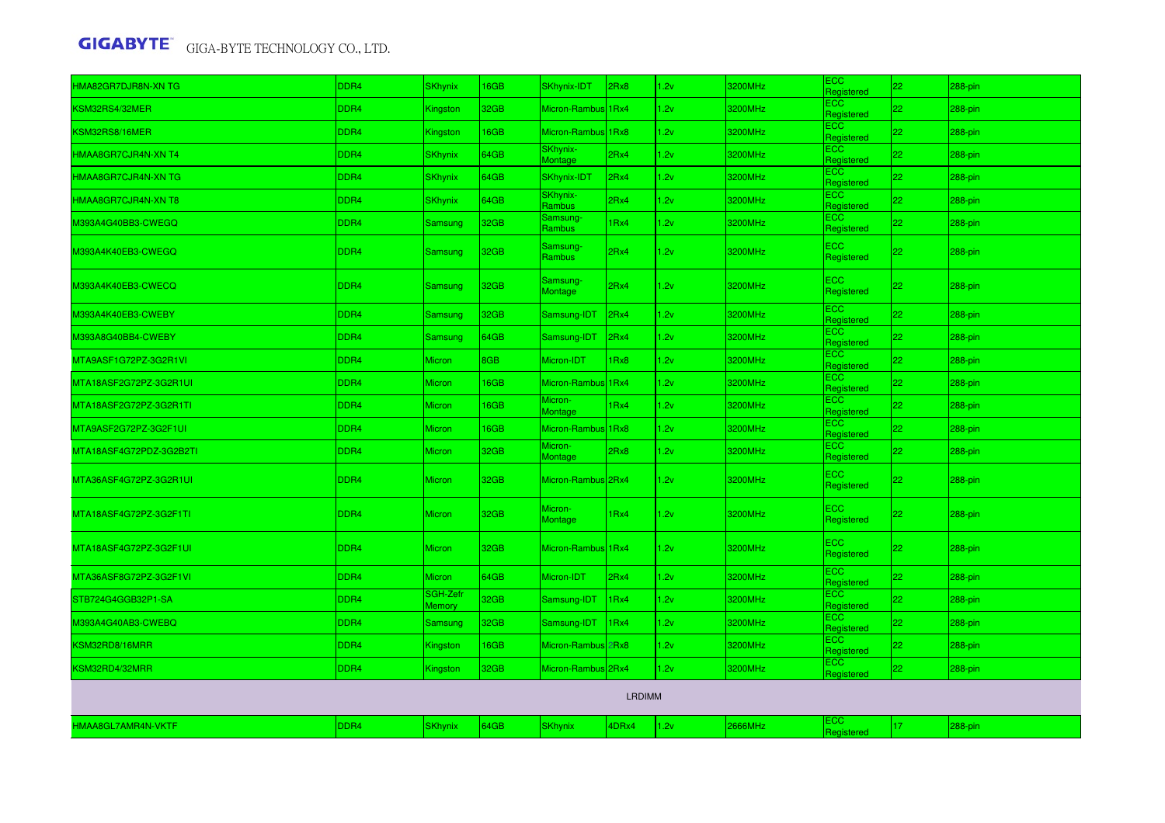| HMA82GR7DJR8N-XN TG     | DDR4             | <b>SKhynix</b>            | 16GB | SKhynix-IDT                | 2Rx8          | 1.2v | 3200MHz | ECC<br>Registered        | 22  | 288-pin    |
|-------------------------|------------------|---------------------------|------|----------------------------|---------------|------|---------|--------------------------|-----|------------|
| KSM32RS4/32MER          | DDR4             | Kingston                  | 32GB | Micron-Rambus 1Rx4         |               | 1.2v | 3200MHz | ECC<br>Registered        | 22  | 288-pin    |
| KSM32RS8/16MER          | DDR4             | Kingston                  | 16GB | Micron-Rambus 1Rx8         |               | 1.2v | 3200MHz | <b>ECC</b><br>Registered | 22  | 288-pin    |
| HMAA8GR7CJR4N-XN T4     | DDR4             | <b>SKhynix</b>            | 64GB | SKhynix-<br>Montage        | 2Rx4          | 1.2v | 3200MHz | ECC<br>Registered        | 22  | 288-pin    |
| HMAA8GR7CJR4N-XN TG     | DDR4             | <b>SKhynix</b>            | 64GB | SKhynix-IDT                | 2Rx4          | 1.2v | 3200MHz | <b>ECC</b><br>Registered | 22  | 288-pin    |
| HMAA8GR7CJR4N-XN T8     | DDR4             | <b>SKhynix</b>            | 64GB | SKhynix-<br><b>Rambus</b>  | 2Rx4          | 2v   | 3200MHz | ECC.<br>Registered       | 22  | 288-pin    |
| M393A4G40BB3-CWEGQ      | DDR4             | Samsung                   | 32GB | Samsung-<br><b>Rambus</b>  | 1Rx4          | 2v   | 3200MHz | <b>ECC</b><br>Registered | 22  | 288-pin    |
| M393A4K40EB3-CWEGQ      | DDR4             | Samsung                   | 32GB | Samsung-<br>Rambus         | 2Rx4          | 1.2v | 3200MHz | ECC<br>Registered        | 22  | $288$ -pin |
| M393A4K40EB3-CWECQ      | DDR4             | Samsung                   | 32GB | Samsung-<br><b>Montage</b> | 2Rx4          | 1.2v | 3200MHz | ECC<br>Registered        | 22  | 288-pin    |
| M393A4K40EB3-CWEBY      | DDR4             | Samsung                   | 32GB | Samsung-IDT                | 2Rx4          | 1.2v | 3200MHz | <b>ECC</b><br>Registered | 22  | 288-pin    |
| M393A8G40BB4-CWEBY      | DDR4             | Samsung                   | 64GB | Samsung-IDT                | l2Rx4         | 1.2v | 3200MHz | ECC<br>Registered        | 22  | 288-pin    |
| MTA9ASF1G72PZ-3G2R1VI   | DDR4             | <b>Micron</b>             | 8GB  | Micron-IDT                 | 1Rx8          | 1.2v | 3200MHz | <b>ECC</b><br>Registered | 22  | 288-pin    |
| MTA18ASF2G72PZ-3G2R1UI  | DDR4             | <b>Micron</b>             | 16GB | Micron-Rambus 1Rx4         |               | 1.2v | 3200MHz | ECC.<br>Registered       | 22  | 288-pin    |
| MTA18ASF2G72PZ-3G2R1TI  | DDR4             | Micron                    | 16GB | Micron-<br>Montage         | 1Rx4          | 1.2v | 3200MHz | <b>ECC</b><br>Registered | 22  | 288-pin    |
| MTA9ASF2G72PZ-3G2F1UI   | DDR4             | Micron                    | 16GB | Micron-Rambus 1Rx8         |               | 1.2v | 3200MHz | <b>ECC</b><br>Registered | 22. | 288-pin    |
| MTA18ASF4G72PDZ-3G2B2TI | DDR4             | Micron                    | 32GB | Micron-<br>Montage         | 2Rx8          | .2v  | 3200MHz | ECC<br>Registered        | 22. | 288-pin    |
| MTA36ASF4G72PZ-3G2R1UI  | DDR <sub>4</sub> | <b>Micron</b>             | 32GB | Micron-Rambus 2Rx4         |               | 1.2v | 3200MHz | ECC<br>Registered        | 22  | 288-pin    |
| MTA18ASF4G72PZ-3G2F1TI  | DDR4             | <b>Micron</b>             | 32GB | Micron-<br>Montage         | 1Rx4          | 1.2v | 3200MHz | ECC<br>Registered        | 22  | 288-pin    |
| MTA18ASF4G72PZ-3G2F1UI  | DDR4             | <b>Micron</b>             | 32GB | Micron-Rambus 1Rx4         |               | 1.2v | 3200MHz | ECC.<br>Registered       | 22  | 288-pin    |
| MTA36ASF8G72PZ-3G2F1VI  | DDR4             | <b>Micron</b>             | 64GB | Micron-IDT                 | 2Rx4          | 1.2v | 3200MHz | ECC<br>Registered        | 22  | 288-pin    |
| STB724G4GGB32P1-SA      | DDR4             | SGH-Zefr<br><b>Memory</b> | 32GB | Samsung-IDT                | 1Rx4          | 1.2v | 3200MHz | ECC<br>Registered        | 22  | 288-pin    |
| M393A4G40AB3-CWEBQ      | DDR4             | Samsung                   | 32GB | Samsung-IDT                | 1Rx4          | 1.2v | 3200MHz | ECC<br>Registered        | 22  | 288-pin    |
| KSM32RD8/16MRR          | DDR4             | Kingston                  | 16GB | Micron-Rambus 2Rx8         |               | 1.2v | 3200MHz | ECC<br>Registered        | 22  | 288-pin    |
| KSM32RD4/32MRR          | DDR4             | Kingston                  | 32GB | Micron-Rambus 2Rx4         |               | 1.2v | 3200MHz | ECC<br>Registered        | 22  | 288-pin    |
|                         |                  |                           |      |                            | <b>LRDIMM</b> |      |         |                          |     |            |
| HMAA8GL7AMR4N-VKTF      | DDR4             | <b>SKhynix</b>            | 64GB | <b>SKhynix</b>             | 4DRx4         | 1.2v | 2666MHz | ECC<br>Registered        | 17  | 288-pin    |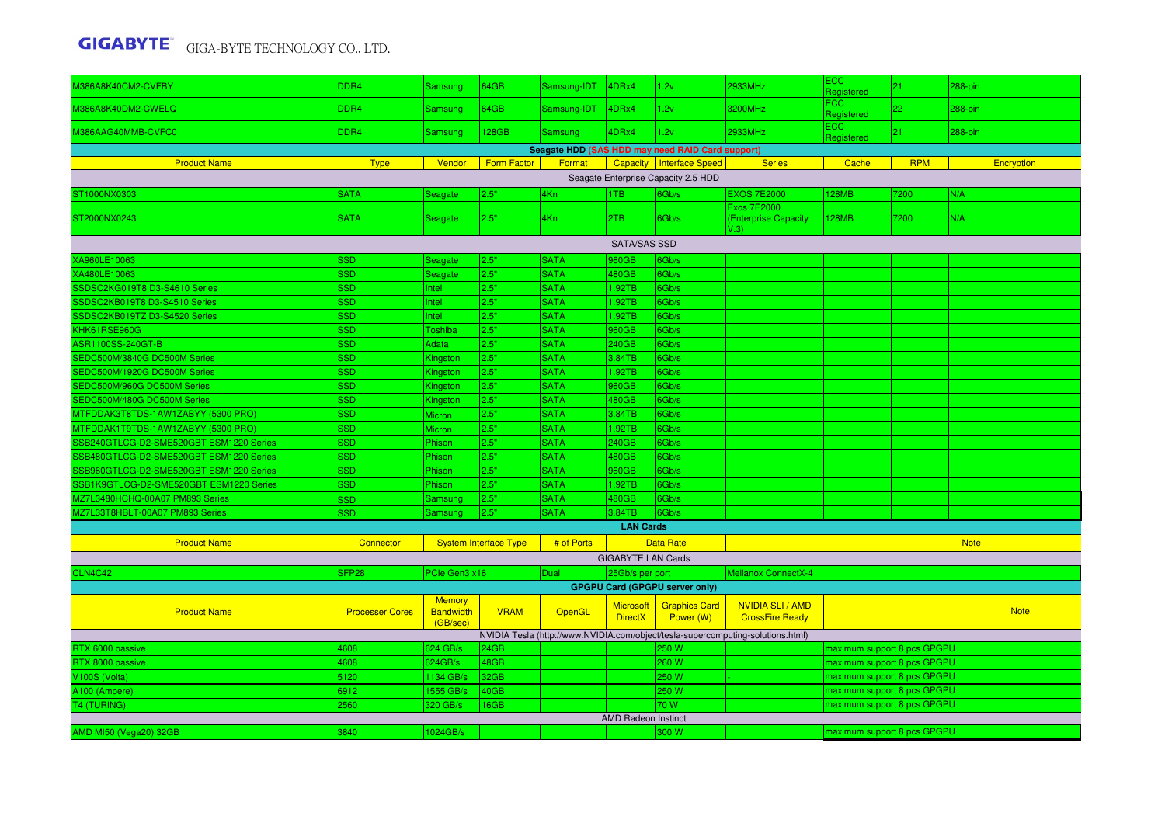|                                         |                        |                              |                              |             |                                    |                                                  |                                                                                 | <b>ECC</b>                  |            |             |  |
|-----------------------------------------|------------------------|------------------------------|------------------------------|-------------|------------------------------------|--------------------------------------------------|---------------------------------------------------------------------------------|-----------------------------|------------|-------------|--|
| <b>M386A8K40CM2-CVFBY</b>               | DDR4                   | Samsung                      | 64GB                         | Samsung-IDT | 4DRx4                              | 1.2v                                             | 2933MHz                                                                         | Registered                  | 21         | 288-pin     |  |
| M386A8K40DM2-CWELQ                      | DDR4                   | Samsung                      | 64GB                         | Samsung-IDT | 4DRx4                              | 1.2v                                             | 3200MHz                                                                         | ECC<br>Registered           | 22         | 288-pin     |  |
| M386AAG40MMB-CVFC0                      | DDR4                   | Samsung                      | 128GB                        | Samsung     | 4DRx4                              | 1.2v                                             | 2933MHz                                                                         | <b>ECC</b><br>Registered    | 21         | 288-pin     |  |
|                                         |                        |                              |                              |             |                                    | Seagate HDD (SAS HDD may need RAID Card support) |                                                                                 |                             |            |             |  |
| <b>Product Name</b>                     | <b>Type</b>            | Vendor                       | <b>Form Factor</b>           | Format      |                                    | Capacity   Interface Speed                       | <b>Series</b>                                                                   | Cache                       | <b>RPM</b> | Encryption  |  |
|                                         |                        |                              |                              |             |                                    | Seagate Enterprise Capacity 2.5 HDD              |                                                                                 |                             |            |             |  |
| ST1000NX0303                            | <b>SATA</b>            | Seagate                      | 2.5"                         | 4Kn         | 1TB                                | 6Gb/s                                            | <b>EXOS 7E2000</b>                                                              | 128MB                       | 7200       | N/A         |  |
| ST2000NX0243                            | <b>SATA</b>            | <b>Seagate</b>               | 2.5"                         | 4Kn         | 2TB                                | 6Gb/s                                            | <b>Exos 7E2000</b><br>(Enterprise Capacity<br>V.3)                              | <b>128MB</b>                | 7200       | N/A         |  |
|                                         |                        |                              |                              |             | <b>SATA/SAS SSD</b>                |                                                  |                                                                                 |                             |            |             |  |
| XA960LE10063                            | SSD                    | Seagate                      | 2.5"                         | <b>SATA</b> | 960GB                              | 6Gb/s                                            |                                                                                 |                             |            |             |  |
| XA480LE10063                            | SSD                    | Seagate                      | 2.5"                         | <b>SATA</b> | 480GB                              | 6Gb/s                                            |                                                                                 |                             |            |             |  |
| SSDSC2KG019T8 D3-S4610 Series           | <b>SSD</b>             | Intel                        | 2.5"                         | <b>SATA</b> | 1.92TB                             | 6Gb/s                                            |                                                                                 |                             |            |             |  |
| SSDSC2KB019T8 D3-S4510 Series           | SSD                    | Intel                        | 2.5"                         | <b>SATA</b> | 1.92TB                             | 6Gb/s                                            |                                                                                 |                             |            |             |  |
| SSDSC2KB019TZ D3-S4520 Series           | <b>SSD</b>             | Intel                        | 2.5"                         | <b>SATA</b> | 1.92TB                             | 6Gb/s                                            |                                                                                 |                             |            |             |  |
| KHK61RSE960G                            | <b>SSD</b>             | Toshiba                      | 2.5"                         | <b>SATA</b> | 960GB                              | 6Gb/s                                            |                                                                                 |                             |            |             |  |
| ASR1100SS-240GT-B                       | <b>SSD</b>             | Adata                        | 2.5"                         | <b>SATA</b> | 240GB                              | 6Gb/s                                            |                                                                                 |                             |            |             |  |
| SEDC500M/3840G DC500M Series            | SSD                    | Kingston                     | 2.5"                         | <b>SATA</b> | 3.84TB                             | 6Gb/s                                            |                                                                                 |                             |            |             |  |
| SEDC500M/1920G DC500M Series            | SSD                    | Kingston                     | 2.5"                         | <b>SATA</b> | 1.92TB                             | 6Gb/s                                            |                                                                                 |                             |            |             |  |
| SEDC500M/960G DC500M Series             | SSD                    | Kingston                     | 2.5"                         | <b>SATA</b> | 960GB                              | 6Gb/s                                            |                                                                                 |                             |            |             |  |
| SEDC500M/480G DC500M Series             | SSD                    | Kingston                     | 2.5"                         | <b>SATA</b> | 480GB                              | 6Gb/s                                            |                                                                                 |                             |            |             |  |
| MTFDDAK3T8TDS-1AW1ZABYY (5300 PRO)      | <b>SSD</b>             | <b>Micron</b>                | 2.5"                         | <b>SATA</b> | 3.84TB                             | 6Gb/s                                            |                                                                                 |                             |            |             |  |
| MTFDDAK1T9TDS-1AW1ZABYY (5300 PRO)      | SSD                    | Micron                       | 2.5"                         | <b>SATA</b> | 1.92TB                             | 6Gb/s                                            |                                                                                 |                             |            |             |  |
| SSB240GTLCG-D2-SME520GBT ESM1220 Series | SSD                    | Phison                       | 2.5"                         | <b>SATA</b> | 240GB                              | 6Gb/s                                            |                                                                                 |                             |            |             |  |
| SSB480GTLCG-D2-SME520GBT ESM1220 Series | SSD                    | Phison                       | 2.5"                         | <b>SATA</b> | 480GB                              | 6Gb/s                                            |                                                                                 |                             |            |             |  |
| SSB960GTLCG-D2-SME520GBT ESM1220 Series | <b>SSD</b>             | Phison                       | 2.5"                         | <b>SATA</b> | 960GB                              | 6Gb/s                                            |                                                                                 |                             |            |             |  |
| SSB1K9GTLCG-D2-SME520GBT ESM1220 Series | <b>SSD</b>             | Phison                       | 2.5"                         | <b>SATA</b> | 1.92TB                             | 6Gb/s                                            |                                                                                 |                             |            |             |  |
| MZ7L3480HCHQ-00A07 PM893 Series         | SSD                    | Samsung                      | 2.5"                         | <b>SATA</b> | 480GB                              | 6Gb/s                                            |                                                                                 |                             |            |             |  |
| MZ7L33T8HBLT-00A07 PM893 Series         | SSD                    | Samsung                      | 2.5"                         | <b>SATA</b> | 3.84TB                             | 6Gb/s                                            |                                                                                 |                             |            |             |  |
|                                         |                        |                              |                              |             | <b>LAN Cards</b>                   |                                                  |                                                                                 |                             |            |             |  |
| <b>Product Name</b>                     | Connector              |                              | <b>System Interface Type</b> | # of Ports  |                                    | <b>Data Rate</b>                                 |                                                                                 |                             |            | <b>Note</b> |  |
|                                         |                        |                              |                              |             | <b>GIGABYTE LAN Cards</b>          |                                                  |                                                                                 |                             |            |             |  |
| CLN4C42                                 | SFP <sub>28</sub>      | PCIe Gen3 x16                |                              | Dual        | 25Gb/s per port                    |                                                  | <b>Mellanox ConnectX-4</b>                                                      |                             |            |             |  |
|                                         |                        |                              |                              |             |                                    | <b>GPGPU Card (GPGPU server only)</b>            |                                                                                 |                             |            |             |  |
|                                         |                        | <b>Memory</b>                |                              |             |                                    |                                                  |                                                                                 |                             |            |             |  |
| <b>Product Name</b>                     | <b>Processer Cores</b> | <b>Bandwidth</b><br>(GB/sec) | <b>VRAM</b>                  | OpenGL      | <b>Microsoft</b><br><b>DirectX</b> | <b>Graphics Card</b><br>Power (W)                | <b>NVIDIA SLI/AMD</b><br><b>CrossFire Ready</b>                                 |                             |            | <b>Note</b> |  |
|                                         |                        |                              |                              |             |                                    |                                                  | NVIDIA Tesla (http://www.NVIDIA.com/object/tesla-supercomputing-solutions.html) |                             |            |             |  |
| RTX 6000 passive                        | 4608                   | 624 GB/s                     | 24GB                         |             |                                    | 250 W                                            |                                                                                 | maximum support 8 pcs GPGPU |            |             |  |
| RTX 8000 passive                        | 4608                   | 624GB/s                      | 48GB                         |             |                                    | 260 W                                            |                                                                                 | maximum support 8 pcs GPGPU |            |             |  |
| V100S (Volta)                           | 5120                   | 1134 GB/s                    | 32GB                         |             |                                    | 250W                                             |                                                                                 | maximum support 8 pcs GPGPU |            |             |  |
| A100 (Ampere)                           | 6912                   | 1555 GB/s                    | 40GB                         |             |                                    | 250W                                             |                                                                                 | maximum support 8 pcs GPGPU |            |             |  |
| T4 (TURING)                             | 2560                   | 320 GB/s                     | 16GB                         |             |                                    | 70 W                                             |                                                                                 | maximum support 8 pcs GPGPU |            |             |  |
|                                         |                        |                              |                              |             | <b>AMD Radeon Instinct</b>         |                                                  |                                                                                 |                             |            |             |  |
| AMD MI50 (Vega20) 32GB                  | 3840                   | 1024GB/s                     |                              |             |                                    | 300 W                                            |                                                                                 | maximum support 8 pcs GPGPU |            |             |  |